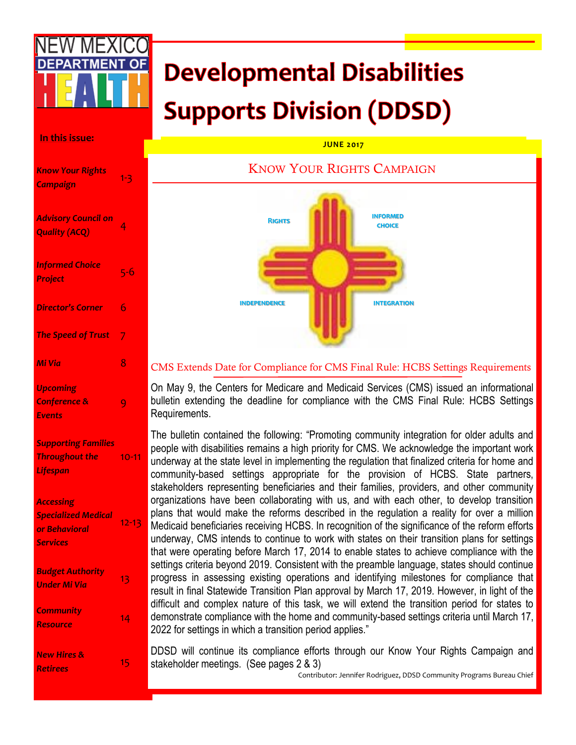# **Developmental Disabilities Supports Division (DDSD)**

#### **In this issue:**

| <b>Know Your Rights</b><br>Campaign                                                | $1 - 3$   |
|------------------------------------------------------------------------------------|-----------|
| <b>Advisory Council on</b><br><b>Quality (ACQ)</b>                                 | 4         |
| <b>Informed Choice</b><br>Project                                                  | $5 - 6$   |
| <b>Director's Corner</b>                                                           | 6         |
| <b>The Speed of Trust</b>                                                          | 7         |
| Mi Via                                                                             | 8         |
| <b>Upcoming</b><br>Conference &<br><b>Events</b>                                   | 9         |
| <b>Supporting Families</b><br><b>Throughout the</b><br>Lifespan                    | $10 - 11$ |
| <b>Accessing</b><br><b>Specialized Medical</b><br>or Behavioral<br><b>Services</b> | $12 - 13$ |
| <b>Budget Authority</b><br><b>Under Mi Via</b>                                     | 13        |
| <b>Community</b><br><b>Resource</b>                                                | 14        |
| <b>New Hires &amp;</b><br><b>Retirees</b>                                          | 15        |

#### **JUNE 2017**

#### KNOW YOUR RIGHTS CAMPAIGN



#### CMS Extends Date for Compliance for CMS Final Rule: HCBS Settings Requirements

On May 9, the Centers for Medicare and Medicaid Services (CMS) issued an informational bulletin extending the deadline for compliance with the CMS Final Rule: HCBS Settings Requirements.

The bulletin contained the following: "Promoting community integration for older adults and people with disabilities remains a high priority for CMS. We acknowledge the important work underway at the state level in implementing the regulation that finalized criteria for home and community-based settings appropriate for the provision of HCBS. State partners, stakeholders representing beneficiaries and their families, providers, and other community organizations have been collaborating with us, and with each other, to develop transition plans that would make the reforms described in the regulation a reality for over a million Medicaid beneficiaries receiving HCBS. In recognition of the significance of the reform efforts underway, CMS intends to continue to work with states on their transition plans for settings that were operating before March 17, 2014 to enable states to achieve compliance with the settings criteria beyond 2019. Consistent with the preamble language, states should continue progress in assessing existing operations and identifying milestones for compliance that result in final Statewide Transition Plan approval by March 17, 2019. However, in light of the difficult and complex nature of this task, we will extend the transition period for states to demonstrate compliance with the home and community-based settings criteria until March 17, 2022 for settings in which a transition period applies."

DDSD will continue its compliance efforts through our Know Your Rights Campaign and stakeholder meetings. (See pages 2 & 3)

Contributor: Jennifer Rodriguez, DDSD Community Programs Bureau Chief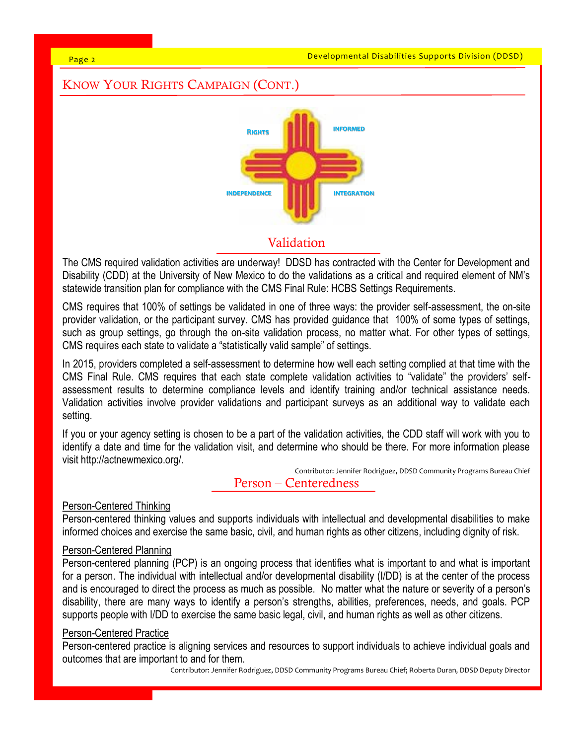Developmental Disabilities Supports Division (DDSD)

#### Page 2

# KNOW YOUR RIGHTS CAMPAIGN (CONT.)



# Validation

The CMS required validation activities are underway! DDSD has contracted with the Center for Development and Disability (CDD) at the University of New Mexico to do the validations as a critical and required element of NM's statewide transition plan for compliance with the CMS Final Rule: HCBS Settings Requirements.

CMS requires that 100% of settings be validated in one of three ways: the provider self-assessment, the on-site provider validation, or the participant survey. CMS has provided guidance that 100% of some types of settings, such as group settings, go through the on-site validation process, no matter what. For other types of settings, CMS requires each state to validate a "statistically valid sample" of settings.

In 2015, providers completed a self-assessment to determine how well each setting complied at that time with the CMS Final Rule. CMS requires that each state complete validation activities to "validate" the providers' selfassessment results to determine compliance levels and identify training and/or technical assistance needs. Validation activities involve provider validations and participant surveys as an additional way to validate each setting.

If you or your agency setting is chosen to be a part of the validation activities, the CDD staff will work with you to identify a date and time for the validation visit, and determine who should be there. For more information please visit http://actnewmexico.org/.

Contributor: Jennifer Rodriguez, DDSD Community Programs Bureau Chief

#### Person – Centeredness

#### Person-Centered Thinking

Person-centered thinking values and supports individuals with intellectual and developmental disabilities to make informed choices and exercise the same basic, civil, and human rights as other citizens, including dignity of risk.

## Person-Centered Planning

Person-centered planning (PCP) is an ongoing process that identifies what is important to and what is important for a person. The individual with intellectual and/or developmental disability (I/DD) is at the center of the process and is encouraged to direct the process as much as possible. No matter what the nature or severity of a person's disability, there are many ways to identify a person's strengths, abilities, preferences, needs, and goals. PCP supports people with I/DD to exercise the same basic legal, civil, and human rights as well as other citizens.

#### Person-Centered Practice

Person-centered practice is aligning services and resources to support individuals to achieve individual goals and outcomes that are important to and for them.

Contributor: Jennifer Rodriguez, DDSD Community Programs Bureau Chief; Roberta Duran, DDSD Deputy Director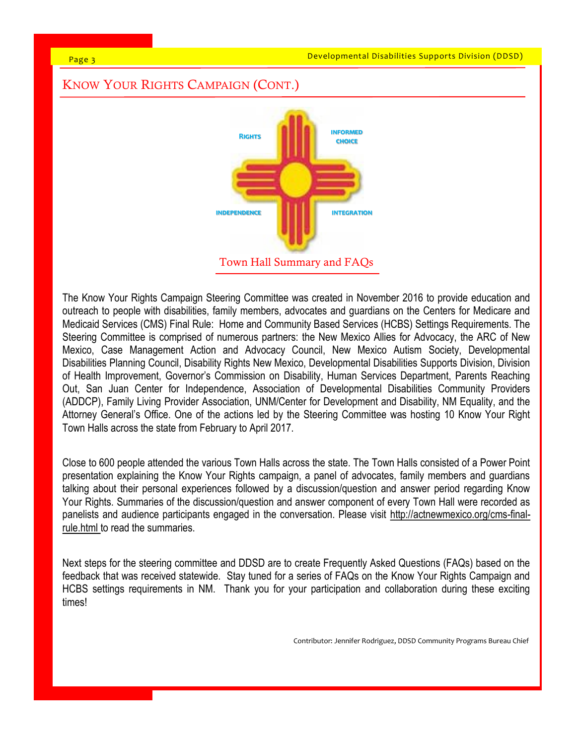Developmental Disabilities Supports Division (DDSD)

#### Page 3

# KNOW YOUR RIGHTS CAMPAIGN (CONT.) Town Hall Summary and FAQs **Rights informed choice independence [integratio](https://www.google.com/imgres?imgurl=https://images-na.ssl-images-amazon.com/images/I/416bJz8IoAL._AC_UL160_SR160,160_.jpg&imgrefurl=https://www.amazon.com/Mexico-Symbol-Window-Vinyl-Sticker/dp/B00FCGK6YM&docid=g7dM8d2JZEV3iM&tbnid=bwWsse57w17vkM:&w=160&h=160)n**

The Know Your Rights Campaign Steering Committee was created in November 2016 to provide education and outreach to people with disabilities, family members, advocates and guardians on the Centers for Medicare and Medicaid Services (CMS) Final Rule: Home and Community Based Services (HCBS) Settings Requirements. The Steering Committee is comprised of numerous partners: the New Mexico Allies for Advocacy, the ARC of New Mexico, Case Management Action and Advocacy Council, New Mexico Autism Society, Developmental Disabilities Planning Council, Disability Rights New Mexico, Developmental Disabilities Supports Division, Division of Health Improvement, Governor's Commission on Disability, Human Services Department, Parents Reaching Out, San Juan Center for Independence, Association of Developmental Disabilities Community Providers (ADDCP), Family Living Provider Association, UNM/Center for Development and Disability, NM Equality, and the Attorney General's Office. One of the actions led by the Steering Committee was hosting 10 Know Your Right Town Halls across the state from February to April 2017.

Close to 600 people attended the various Town Halls across the state. The Town Halls consisted of a Power Point presentation explaining the Know Your Rights campaign, a panel of advocates, family members and guardians talking about their personal experiences followed by a discussion/question and answer period regarding Know Your Rights. Summaries of the discussion/question and answer component of every Town Hall were recorded as panelists and audience participants engaged in the conversation. Please visit http://actnewmexico.org/cms-finalrule.html to read the summaries.

Next steps for the steering committee and DDSD are to create Frequently Asked Questions (FAQs) based on the feedback that was received statewide. Stay tuned for a series of FAQs on the Know Your Rights Campaign and HCBS settings requirements in NM. Thank you for your participation and collaboration during these exciting times!

Contributor: Jennifer Rodriguez, DDSD Community Programs Bureau Chief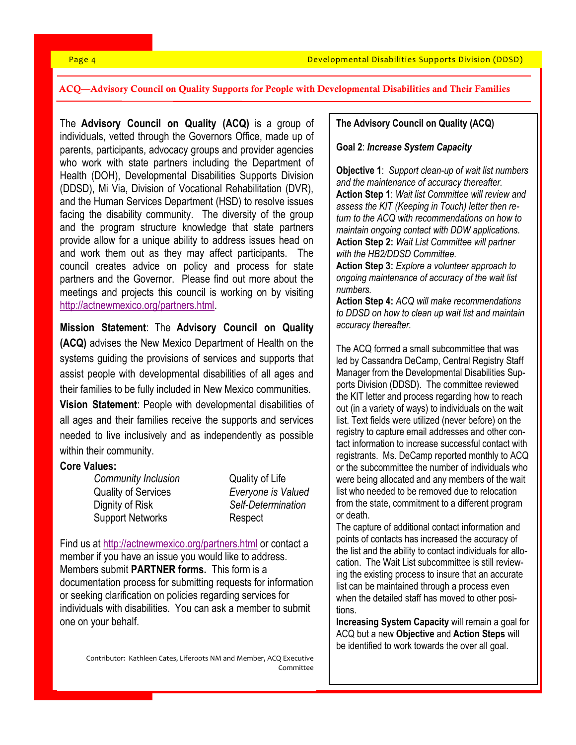#### ACQ—Advisory Council on Quality Supports for People with Developmental Disabilities and Their Families

The **Advisory Council on Quality (ACQ)** is a group of individuals, vetted through the Governors Office, made up of parents, participants, advocacy groups and provider agencies who work with state partners including the Department of Health (DOH), Developmental Disabilities Supports Division (DDSD), Mi Via, Division of Vocational Rehabilitation (DVR), and the Human Services Department (HSD) to resolve issues facing the disability community. The diversity of the group and the program structure knowledge that state partners provide allow for a unique ability to address issues head on and work them out as they may affect participants. The council creates advice on policy and process for state partners and the Governor. Please find out more about the meetings and projects this council is working on by visiting [http://actnewmexico.org/partners.html.](http://actnewmexico.org/partners.html) 

**Mission Statement**: The **Advisory Council on Quality (ACQ)** advises the New Mexico Department of Health on the systems guiding the provisions of services and supports that assist people with developmental disabilities of all ages and their families to be fully included in New Mexico communities.

**Vision Statement**: People with developmental disabilities of all ages and their families receive the supports and services needed to live inclusively and as independently as possible within their community.

#### **Core Values:**

*Community Inclusion* Quality of Life Quality of Services *Everyone is Valued* Dignity of Risk *Self-Determination* Support Networks Respect

Find us at <http://actnewmexico.org/partners.html> or contact a member if you have an issue you would like to address. Members submit **PARTNER forms.** This form is a documentation process for submitting requests for information or seeking clarification on policies regarding services for individuals with disabilities. You can ask a member to submit one on your behalf.

> Contributor: Kathleen Cates, Liferoots NM and Member, ACQ Executive Committee

#### **The Advisory Council on Quality (ACQ)**

#### **Goal 2**: *Increase System Capacity*

**Objective 1**: *Support clean-up of wait list numbers and the maintenance of accuracy thereafter.* **Action Step 1**: *Wait list Committee will review and assess the KIT (Keeping in Touch) letter then return to the ACQ with recommendations on how to maintain ongoing contact with DDW applications.* **Action Step 2:** *Wait List Committee will partner with the HB2/DDSD Committee.*

**Action Step 3:** *Explore a volunteer approach to ongoing maintenance of accuracy of the wait list numbers.*

**Action Step 4:** *ACQ will make recommendations to DDSD on how to clean up wait list and maintain accuracy thereafter.*

The ACQ formed a small subcommittee that was led by Cassandra DeCamp, Central Registry Staff Manager from the Developmental Disabilities Supports Division (DDSD). The committee reviewed the KIT letter and process regarding how to reach out (in a variety of ways) to individuals on the wait list. Text fields were utilized (never before) on the registry to capture email addresses and other contact information to increase successful contact with registrants. Ms. DeCamp reported monthly to ACQ or the subcommittee the number of individuals who were being allocated and any members of the wait list who needed to be removed due to relocation from the state, commitment to a different program or death.

The capture of additional contact information and points of contacts has increased the accuracy of the list and the ability to contact individuals for allocation. The Wait List subcommittee is still reviewing the existing process to insure that an accurate list can be maintained through a process even when the detailed staff has moved to other positions.

**Increasing System Capacity** will remain a goal for ACQ but a new **Objective** and **Action Steps** will be identified to work towards the over all goal.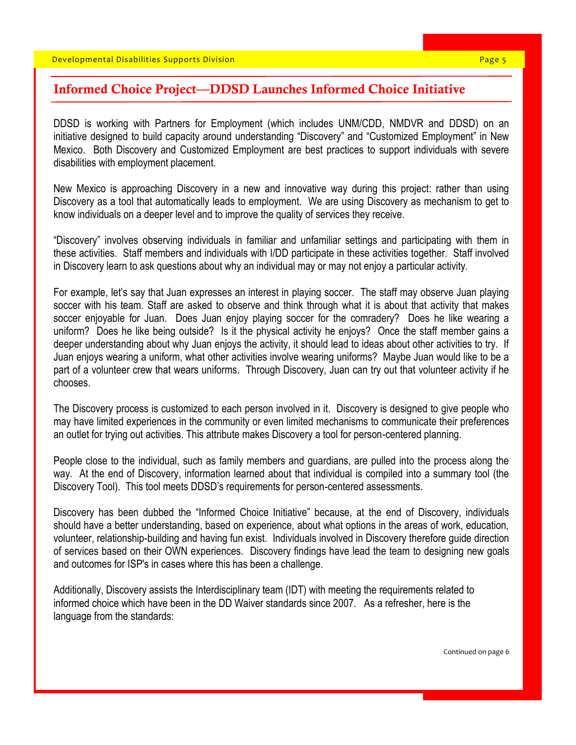### Informed Choice Project—DDSD Launches Informed Choice Initiative

DDSD is working with Partners for Employment (which includes UNM/CDD, NMDVR and DDSD) on an initiative designed to build capacity around understanding "Discovery" and "Customized Employment" in New Mexico. Both Discovery and Customized Employment are best practices to support individuals with severe disabilities with employment placement.

New Mexico is approaching Discovery in a new and innovative way during this project: rather than using Discovery as a tool that automatically leads to employment. We are using Discovery as mechanism to get to know individuals on a deeper level and to improve the quality of services they receive.

"Discovery" involves observing individuals in familiar and unfamiliar settings and participating with them in these activities. Staff members and individuals with I/DD participate in these activities together. Staff involved in Discovery learn to ask questions about why an individual may or may not enjoy a particular activity.

For example, let's say that Juan expresses an interest in playing soccer. The staff may observe Juan playing soccer with his team. Staff are asked to observe and think through what it is about that activity that makes soccer enjoyable for Juan. Does Juan enjoy playing soccer for the comradery? Does he like wearing a uniform? Does he like being outside? Is it the physical activity he enjoys? Once the staff member gains a deeper understanding about why Juan enjoys the activity, it should lead to ideas about other activities to try. If Juan enjoys wearing a uniform, what other activities involve wearing uniforms? Maybe Juan would like to be a part of a volunteer crew that wears uniforms. Through Discovery, Juan can try out that volunteer activity if he chooses.

The Discovery process is customized to each person involved in it. Discovery is designed to give people who may have limited experiences in the community or even limited mechanisms to communicate their preferences an outlet for trying out activities. This attribute makes Discovery a tool for person-centered planning.

People close to the individual, such as family members and guardians, are pulled into the process along the way. At the end of Discovery, information learned about that individual is compiled into a summary tool (the Discovery Tool). This tool meets DDSD's requirements for person-centered assessments.

Discovery has been dubbed the "Informed Choice Initiative" because, at the end of Discovery, individuals should have a better understanding, based on experience, about what options in the areas of work, education, volunteer, relationship-building and having fun exist. Individuals involved in Discovery therefore guide direction of services based on their OWN experiences. Discovery findings have lead the team to designing new goals and outcomes for ISP's in cases where this has been a challenge.

Additionally, Discovery assists the Interdisciplinary team (IDT) with meeting the requirements related to informed choice which have been in the DD Waiver standards since 2007. As a refresher, here is the language from the standards:

Continued on page 6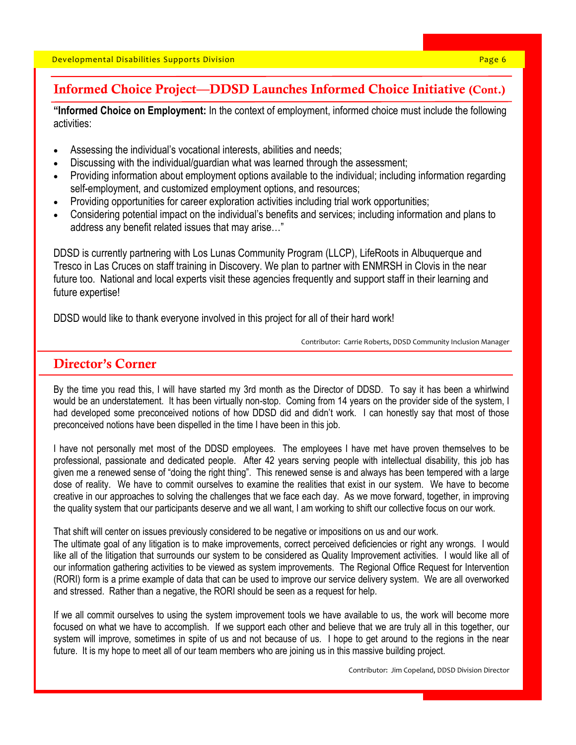# Informed Choice Project—DDSD Launches Informed Choice Initiative (Cont.)

**"Informed Choice on Employment:** In the context of employment, informed choice must include the following activities:

- Assessing the individual's vocational interests, abilities and needs;
- Discussing with the individual/guardian what was learned through the assessment;
- Providing information about employment options available to the individual; including information regarding self-employment, and customized employment options, and resources;
- Providing opportunities for career exploration activities including trial work opportunities;
- Considering potential impact on the individual's benefits and services; including information and plans to address any benefit related issues that may arise…"

DDSD is currently partnering with Los Lunas Community Program (LLCP), LifeRoots in Albuquerque and Tresco in Las Cruces on staff training in Discovery. We plan to partner with ENMRSH in Clovis in the near future too. National and local experts visit these agencies frequently and support staff in their learning and future expertise!

DDSD would like to thank everyone involved in this project for all of their hard work!

Contributor: Carrie Roberts, DDSD Community Inclusion Manager

# Director's Corner

By the time you read this, I will have started my 3rd month as the Director of DDSD. To say it has been a whirlwind would be an understatement. It has been virtually non-stop. Coming from 14 years on the provider side of the system, I had developed some preconceived notions of how DDSD did and didn't work. I can honestly say that most of those preconceived notions have been dispelled in the time I have been in this job.

I have not personally met most of the DDSD employees. The employees I have met have proven themselves to be professional, passionate and dedicated people. After 42 years serving people with intellectual disability, this job has given me a renewed sense of "doing the right thing". This renewed sense is and always has been tempered with a large dose of reality. We have to commit ourselves to examine the realities that exist in our system. We have to become creative in our approaches to solving the challenges that we face each day. As we move forward, together, in improving the quality system that our participants deserve and we all want, I am working to shift our collective focus on our work.

That shift will center on issues previously considered to be negative or impositions on us and our work.

The ultimate goal of any litigation is to make improvements, correct perceived deficiencies or right any wrongs. I would like all of the litigation that surrounds our system to be considered as Quality Improvement activities. I would like all of our information gathering activities to be viewed as system improvements. The Regional Office Request for Intervention (RORI) form is a prime example of data that can be used to improve our service delivery system. We are all overworked and stressed. Rather than a negative, the RORI should be seen as a request for help.

If we all commit ourselves to using the system improvement tools we have available to us, the work will become more focused on what we have to accomplish. If we support each other and believe that we are truly all in this together, our system will improve, sometimes in spite of us and not because of us. I hope to get around to the regions in the near future. It is my hope to meet all of our team members who are joining us in this massive building project.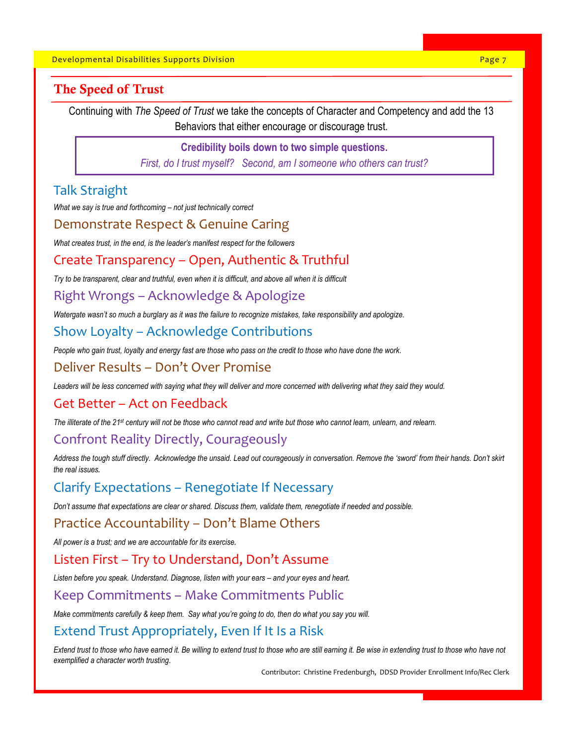# The Speed of Trust

Continuing with *The Speed of Trust* we take the concepts of Character and Competency and add the 13 Behaviors that either encourage or discourage trust.

#### **Credibility boils down to two simple questions.**

*First, do I trust myself? Second, am I someone who others can trust?*

# Talk Straight

*What we say is true and forthcoming – not just technically correct*

### Demonstrate Respect & Genuine Caring

*What creates trust, in the end, is the leader's manifest respect for the followers*

### Create Transparency – Open, Authentic & Truthful

*Try to be transparent, clear and truthful, even when it is difficult, and above all when it is difficult*

### Right Wrongs – Acknowledge & Apologize

*Watergate wasn't so much a burglary as it was the failure to recognize mistakes, take responsibility and apologize.*

# Show Loyalty – Acknowledge Contributions

*People who gain trust, loyalty and energy fast are those who pass on the credit to those who have done the work.*

#### Deliver Results – Don't Over Promise

*Leaders will be less concerned with saying what they will deliver and more concerned with delivering what they said they would.*

#### Get Better – Act on Feedback

*The illiterate of the 21st century will not be those who cannot read and write but those who cannot learn, unlearn, and relearn.*

## Confront Reality Directly, Courageously

Address the tough stuff directly. Acknowledge the unsaid. Lead out courageously in conversation. Remove the 'sword' from their hands. Don't skirt *the real issues.*

# Clarify Expectations – Renegotiate If Necessary

*Don't assume that expectations are clear or shared. Discuss them, validate them, renegotiate if needed and possible.*

# Practice Accountability – Don't Blame Others

*All power is a trust; and we are accountable for its exercise.*

#### Listen First – Try to Understand, Don't Assume

Listen before you speak. Understand. Diagnose, listen with your ears - and your eyes and heart.

#### Keep Commitments – Make Commitments Public

*Make commitments carefully & keep them. Say what you're going to do, then do what you say you will.*

## Extend Trust Appropriately, Even If It Is a Risk

*Extend trust to those who have earned it. Be willing to extend trust to those who are still earning it. Be wise in extending trust to those who have not exemplified a character worth trusting*.

Contributor: Christine Fredenburgh, DDSD Provider Enrollment Info/Rec Clerk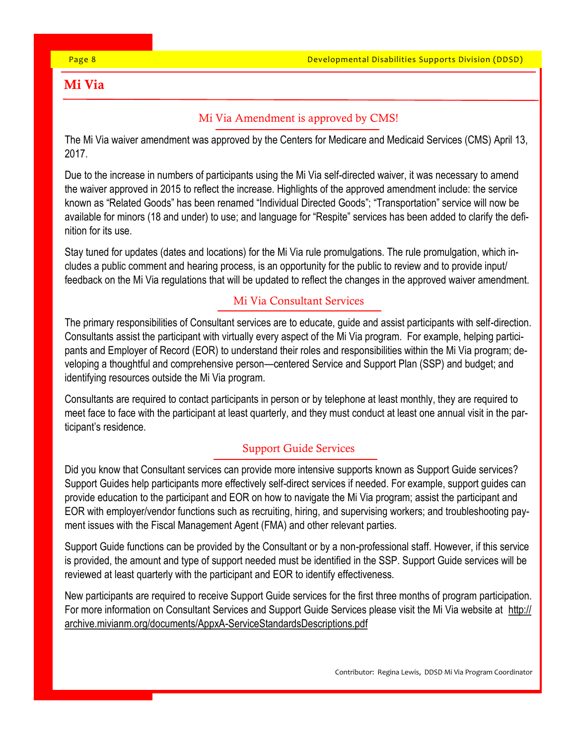# Mi Via

# Mi Via Amendment is approved by CMS!

The Mi Via waiver amendment was approved by the Centers for Medicare and Medicaid Services (CMS) April 13, 2017.

Due to the increase in numbers of participants using the Mi Via self-directed waiver, it was necessary to amend the waiver approved in 2015 to reflect the increase. Highlights of the approved amendment include: the service known as "Related Goods" has been renamed "Individual Directed Goods"; "Transportation" service will now be available for minors (18 and under) to use; and language for "Respite" services has been added to clarify the definition for its use.

Stay tuned for updates (dates and locations) for the Mi Via rule promulgations. The rule promulgation, which includes a public comment and hearing process, is an opportunity for the public to review and to provide input/ feedback on the Mi Via regulations that will be updated to reflect the changes in the approved waiver amendment.

# Mi Via Consultant Services

The primary responsibilities of Consultant services are to educate, guide and assist participants with self-direction. Consultants assist the participant with virtually every aspect of the Mi Via program. For example, helping participants and Employer of Record (EOR) to understand their roles and responsibilities within the Mi Via program; developing a thoughtful and comprehensive person—centered Service and Support Plan (SSP) and budget; and identifying resources outside the Mi Via program.

Consultants are required to contact participants in person or by telephone at least monthly, they are required to meet face to face with the participant at least quarterly, and they must conduct at least one annual visit in the participant's residence.

# Support Guide Services

Did you know that Consultant services can provide more intensive supports known as Support Guide services? Support Guides help participants more effectively self-direct services if needed. For example, support guides can provide education to the participant and EOR on how to navigate the Mi Via program; assist the participant and EOR with employer/vendor functions such as recruiting, hiring, and supervising workers; and troubleshooting payment issues with the Fiscal Management Agent (FMA) and other relevant parties.

Support Guide functions can be provided by the Consultant or by a non-professional staff. However, if this service is provided, the amount and type of support needed must be identified in the SSP. Support Guide services will be reviewed at least quarterly with the participant and EOR to identify effectiveness.

New participants are required to receive Support Guide services for the first three months of program participation. For more information on Consultant Services and Support Guide Services please visit the Mi Via website at http:// archive.mivianm.org/documents/AppxA-ServiceStandardsDescriptions.pdf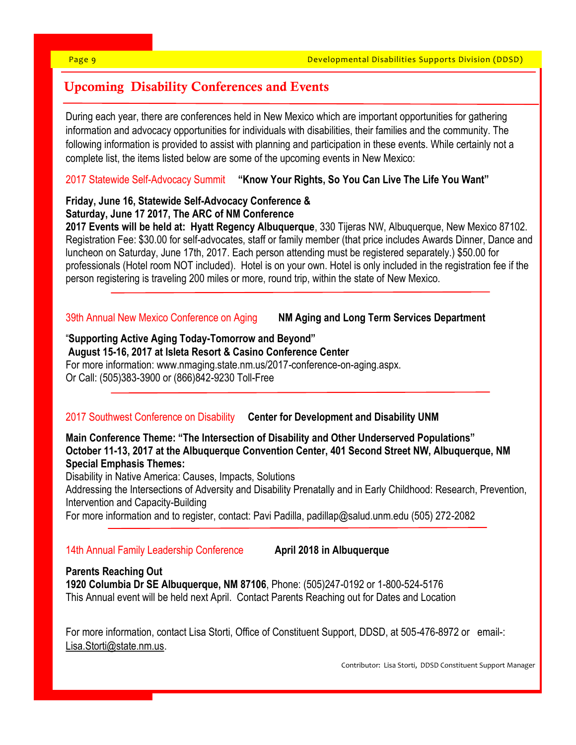# Upcoming Disability Conferences and Events

During each year, there are conferences held in New Mexico which are important opportunities for gathering information and advocacy opportunities for individuals with disabilities, their families and the community. The following information is provided to assist with planning and participation in these events. While certainly not a complete list, the items listed below are some of the upcoming events in New Mexico:

### 2017 Statewide Self-Advocacy Summit **"Know Your Rights, So You Can Live The Life You Want"**

# **Friday, June 16, Statewide Self-Advocacy Conference & Saturday, June 17 2017, The ARC of NM Conference**

**2017 Events will be held at: Hyatt Regency Albuquerque**, 330 Tijeras NW, Albuquerque, New Mexico 87102. Registration Fee: \$30.00 for self-advocates, staff or family member (that price includes Awards Dinner, Dance and luncheon on Saturday, June 17th, 2017. Each person attending must be registered separately.) \$50.00 for professionals (Hotel room NOT included). Hotel is on your own. Hotel is only included in the registration fee if the person registering is traveling 200 miles or more, round trip, within the state of New Mexico.

## 39th Annual New Mexico Conference on Aging **NM Aging and Long Term Services Department**

# "**Supporting Active Aging Today-Tomorrow and Beyond"**

**August 15-16, 2017 at Isleta Resort & Casino Conference Center**  For more information: www.nmaging.state.nm.us/2017-conference-on-aging.aspx. Or Call: (505)383-3900 or (866)842-9230 Toll-Free

## 2017 Southwest Conference on Disability **Center for Development and Disability UNM**

**Main Conference Theme: "The Intersection of Disability and Other Underserved Populations" October 11-13, 2017 at the Albuquerque Convention Center, 401 Second Street NW, Albuquerque, NM Special Emphasis Themes:**

Disability in Native America: Causes, Impacts, Solutions

Addressing the Intersections of Adversity and Disability Prenatally and in Early Childhood: Research, Prevention, Intervention and Capacity-Building

For more information and to register, contact: Pavi Padilla, padillap@salud.unm.edu (505) 272-2082

#### 14th Annual Family Leadership Conference **April 2018 in Albuquerque**

#### **Parents Reaching Out**

**1920 Columbia Dr SE Albuquerque, NM 87106**, Phone: (505)247-0192 or 1-800-524-5176 This Annual event will be held next April. Contact Parents Reaching out for Dates and Location

For more information, contact Lisa Storti, Office of Constituent Support, DDSD, at 505-476-8972 or email-: Lisa.Storti@state.nm.us.

Contributor: Lisa Storti, DDSD Constituent Support Manager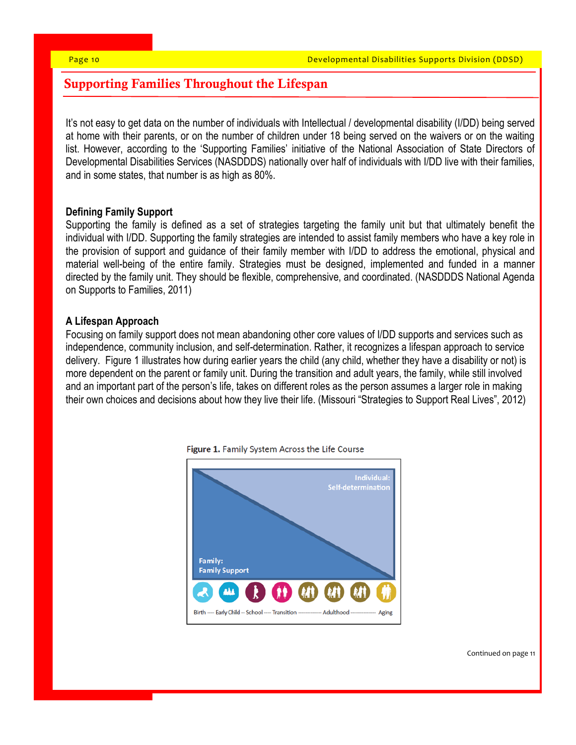# Supporting Families Throughout the Lifespan

It's not easy to get data on the number of individuals with Intellectual / developmental disability (I/DD) being served at home with their parents, or on the number of children under 18 being served on the waivers or on the waiting list. However, according to the 'Supporting Families' initiative of the National Association of State Directors of Developmental Disabilities Services (NASDDDS) nationally over half of individuals with I/DD live with their families, and in some states, that number is as high as 80%.

#### **Defining Family Support**

Supporting the family is defined as a set of strategies targeting the family unit but that ultimately benefit the individual with I/DD. Supporting the family strategies are intended to assist family members who have a key role in the provision of support and guidance of their family member with I/DD to address the emotional, physical and material well-being of the entire family. Strategies must be designed, implemented and funded in a manner directed by the family unit. They should be flexible, comprehensive, and coordinated. (NASDDDS National Agenda on Supports to Families, 2011)

#### **A Lifespan Approach**

Focusing on family support does not mean abandoning other core values of I/DD supports and services such as independence, community inclusion, and self-determination. Rather, it recognizes a lifespan approach to service delivery. Figure 1 illustrates how during earlier years the child (any child, whether they have a disability or not) is more dependent on the parent or family unit. During the transition and adult years, the family, while still involved and an important part of the person's life, takes on different roles as the person assumes a larger role in making their own choices and decisions about how they live their life. (Missouri "Strategies to Support Real Lives", 2012)



Figure 1. Family System Across the Life Course

Continued on page 11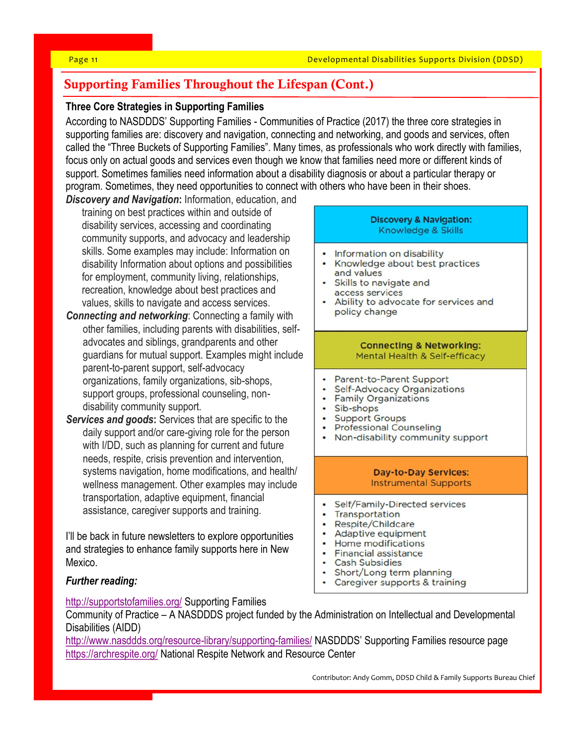# Supporting Families Throughout the Lifespan (Cont.)

#### **Three Core Strategies in Supporting Families**

According to NASDDDS' Supporting Families - Communities of Practice (2017) the three core strategies in supporting families are: discovery and navigation, connecting and networking, and goods and services, often called the "Three Buckets of Supporting Families". Many times, as professionals who work directly with families, focus only on actual goods and services even though we know that families need more or different kinds of support. Sometimes families need information about a disability diagnosis or about a particular therapy or program. Sometimes, they need opportunities to connect with others who have been in their shoes.

- *Discovery and Navigation***:** Information, education, and training on best practices within and outside of disability services, accessing and coordinating community supports, and advocacy and leadership skills. Some examples may include: Information on disability Information about options and possibilities for employment, community living, relationships, recreation, knowledge about best practices and values, skills to navigate and access services.
- *Connecting and networking*: Connecting a family with other families, including parents with disabilities, selfadvocates and siblings, grandparents and other guardians for mutual support. Examples might include parent-to-parent support, self-advocacy organizations, family organizations, sib-shops, support groups, professional counseling, nondisability community support.
- *Services and goods***:** Services that are specific to the daily support and/or care-giving role for the person with I/DD, such as planning for current and future needs, respite, crisis prevention and intervention, systems navigation, home modifications, and health/ wellness management. Other examples may include transportation, adaptive equipment, financial assistance, caregiver supports and training.

I'll be back in future newsletters to explore opportunities and strategies to enhance family supports here in New Mexico.

#### *Further reading:*

#### **Discovery & Navigation:** Knowledge & Skills

- Information on disability
- Knowledge about best practices and values
- Skills to navigate and access services
- Ability to advocate for services and policy change

#### **Connecting & Networking:** Mental Health & Self-efficacy

- Parent-to-Parent Support
- Self-Advocacy Organizations
- Family Organizations
- · Sib-shops
- Support Groups
- Professional Counseling
- Non-disability community support

#### **Day-to-Day Services: Instrumental Supports**

- Self/Family-Directed services
- Transportation
- Respite/Childcare
- Adaptive equipment
- Home modifications
- Financial assistance
- Cash Subsidies
- Short/Long term planning
- Caregiver supports & training

<http://supportstofamilies.org/> Supporting Families Community of Practice – A NASDDDS project funded by the Administration on Intellectual and Developmental

Disabilities (AIDD) <http://www.nasddds.org/resource-library/supporting-families/> NASDDDS' Supporting Families resource page

<https://archrespite.org/> National Respite Network and Resource Center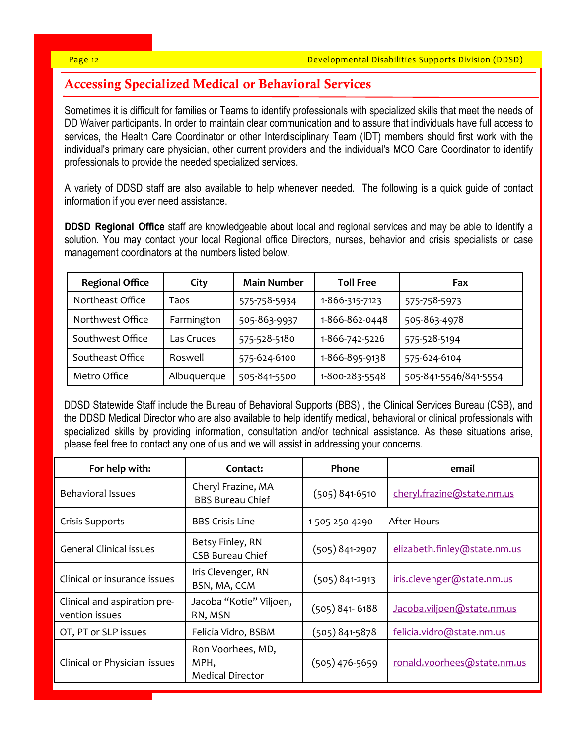# Accessing Specialized Medical or Behavioral Services

Sometimes it is difficult for families or Teams to identify professionals with specialized skills that meet the needs of DD Waiver participants. In order to maintain clear communication and to assure that individuals have full access to services, the Health Care Coordinator or other Interdisciplinary Team (IDT) members should first work with the individual's primary care physician, other current providers and the individual's MCO Care Coordinator to identify professionals to provide the needed specialized services.

A variety of DDSD staff are also available to help whenever needed. The following is a quick guide of contact information if you ever need assistance.

**DDSD Regional Office** staff are knowledgeable about local and regional services and may be able to identify a solution. You may contact your local Regional office Directors, nurses, behavior and crisis specialists or case management coordinators at the numbers listed below.

| <b>Regional Office</b> | City        | <b>Main Number</b> | <b>Toll Free</b> | Fax                   |
|------------------------|-------------|--------------------|------------------|-----------------------|
| Northeast Office       | Taos        | 575-758-5934       | 1-866-315-7123   | 575-758-5973          |
| Northwest Office       | Farmington  | 505-863-9937       | 1-866-862-0448   | 505-863-4978          |
| Southwest Office       | Las Cruces  | 575-528-5180       | 1-866-742-5226   | 575-528-5194          |
| Southeast Office       | Roswell     | 575-624-6100       | 1-866-895-9138   | 575-624-6104          |
| Metro Office           | Albuquerque | 505-841-5500       | 1-800-283-5548   | 505-841-5546/841-5554 |

DDSD Statewide Staff include the Bureau of Behavioral Supports (BBS) , the Clinical Services Bureau (CSB), and the DDSD Medical Director who are also available to help identify medical, behavioral or clinical professionals with specialized skills by providing information, consultation and/or technical assistance. As these situations arise, please feel free to contact any one of us and we will assist in addressing your concerns.

| For help with:                                 | Contact:                                             | Phone              | email                        |
|------------------------------------------------|------------------------------------------------------|--------------------|------------------------------|
| <b>Behavioral Issues</b>                       | Cheryl Frazine, MA<br><b>BBS Bureau Chief</b>        | $(505) 841 - 6510$ | cheryl.frazine@state.nm.us   |
| Crisis Supports                                | <b>BBS Crisis Line</b>                               | 1-505-250-4290     | After Hours                  |
| <b>General Clinical issues</b>                 | Betsy Finley, RN<br><b>CSB Bureau Chief</b>          | $(505) 841 - 2907$ | elizabeth.finley@state.nm.us |
| Clinical or insurance issues                   | Iris Clevenger, RN<br>BSN, MA, CCM                   | $(505) 841 - 2913$ | iris.clevenger@state.nm.us   |
| Clinical and aspiration pre-<br>vention issues | Jacoba "Kotie" Viljoen,<br>RN, MSN                   | $(505) 841 - 6188$ | Jacoba.viljoen@state.nm.us   |
| OT, PT or SLP issues                           | Felicia Vidro, BSBM                                  | $(505) 841 - 5878$ | felicia.vidro@state.nm.us    |
| Clinical or Physician issues                   | Ron Voorhees, MD,<br>MPH,<br><b>Medical Director</b> | $(505)$ 476-5659   | ronald.voorhees@state.nm.us  |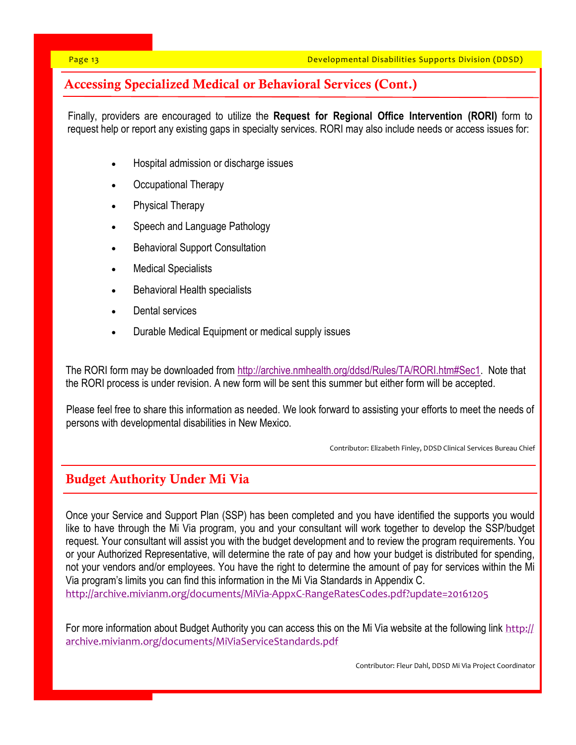# Accessing Specialized Medical or Behavioral Services (Cont.)

Finally, providers are encouraged to utilize the **Request for Regional Office Intervention (RORI)** form to request help or report any existing gaps in specialty services. RORI may also include needs or access issues for:

- Hospital admission or discharge issues
- Occupational Therapy
- Physical Therapy
- Speech and Language Pathology
- Behavioral Support Consultation
- Medical Specialists
- Behavioral Health specialists
- Dental services
- Durable Medical Equipment or medical supply issues

The RORI form may be downloaded from [http://archive.nmhealth.org/ddsd/Rules/TA/RORI.htm#Sec1.](http://archive.nmhealth.org/ddsd/Rules/TA/RORI.htm#Sec1) Note that the RORI process is under revision. A new form will be sent this summer but either form will be accepted.

Please feel free to share this information as needed. We look forward to assisting your efforts to meet the needs of persons with developmental disabilities in New Mexico.

Contributor: Elizabeth Finley, DDSD Clinical Services Bureau Chief

# Budget Authority Under Mi Via

Once your Service and Support Plan (SSP) has been completed and you have identified the supports you would like to have through the Mi Via program, you and your consultant will work together to develop the SSP/budget request. Your consultant will assist you with the budget development and to review the program requirements. You or your Authorized Representative, will determine the rate of pay and how your budget is distributed for spending, not your vendors and/or employees. You have the right to determine the amount of pay for services within the Mi Via program's limits you can find this information in the Mi Via Standards in Appendix C. [http://archive.mivianm.org/documents/MiVia](http://archive.mivianm.org/documents/MiVia-AppxC-RangeRatesCodes.pdf?update=20161205)-AppxC-RangeRatesCodes.pdf?update=20161205

For more information about Budget Authority you can access this on the Mi Via website at the following link [http://](http://archive.mivianm.org/documents/MiViaServiceStandards.pdf) [archive.mivianm.org/documents/MiViaServiceStandards.pdf](http://archive.mivianm.org/documents/MiViaServiceStandards.pdf) 

Contributor: Fleur Dahl, DDSD Mi Via Project Coordinator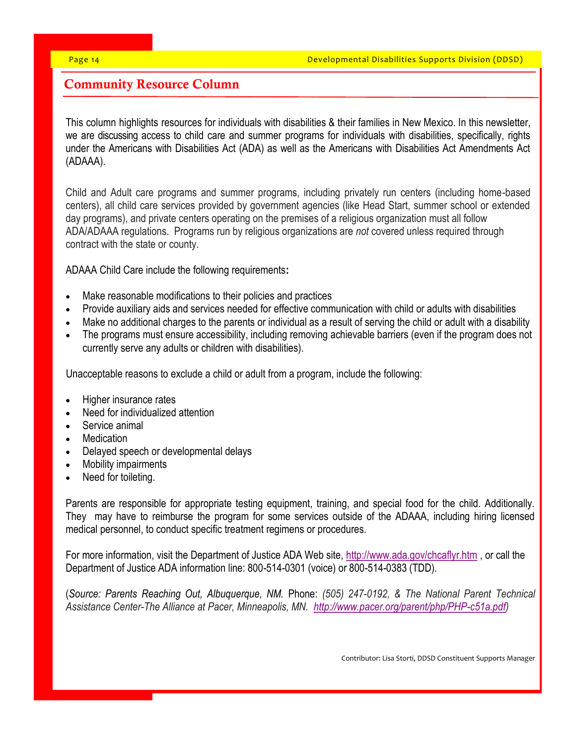# Community Resource Column

This column highlights resources for individuals with disabilities & their families in New Mexico. In this newsletter, we are discussing access to child care and summer programs for individuals with disabilities, specifically, rights under the Americans with Disabilities Act (ADA) as well as the Americans with Disabilities Act Amendments Act (ADAAA).

Child and Adult care programs and summer programs, including privately run centers (including home-based centers), all child care services provided by government agencies (like Head Start, summer school or extended day programs), and private centers operating on the premises of a religious organization must all follow ADA/ADAAA regulations. Programs run by religious organizations are *not* covered unless required through contract with the state or county.

ADAAA Child Care include the following requirements**:**

- Make reasonable modifications to their policies and practices
- Provide auxiliary aids and services needed for effective communication with child or adults with disabilities
- Make no additional charges to the parents or individual as a result of serving the child or adult with a disability
- The programs must ensure accessibility, including removing achievable barriers (even if the program does not currently serve any adults or children with disabilities).

Unacceptable reasons to exclude a child or adult from a program, include the following:

- Higher insurance rates
- Need for individualized attention
- Service animal
- **Medication**
- Delayed speech or developmental delays
- Mobility impairments
- Need for toileting.

Parents are responsible for appropriate testing equipment, training, and special food for the child. Additionally. They may have to reimburse the program for some services outside of the ADAAA, including hiring licensed medical personnel, to conduct specific treatment regimens or procedures.

For more information, visit the Department of Justice ADA Web site, <http://www.ada.gov/chcaflyr.htm> , or call the Department of Justice ADA information line: 800-514-0301 (voice) or 800-514-0383 (TDD).

(*Source: Parents Reaching Out, Albuquerque, NM.* [Phone:](https://www.google.com/search?biw=1417&bih=697&q=parents+reaching+out+phone&sa=X&sqi=2&ved=0ahUKEwjXlv3wo_rTAhVY22MKHRwqDlUQ6BMIggEwEg) *(505) 247-0192, & The National Parent Technical Assistance Center-The Alliance at Pacer, Minneapolis, MN. [http://www.pacer.org/parent/php/PHP-c51a.pdf\)](http://www.pacer.org/parent/php/PHP-c51a.pdf)*

Contributor: Lisa Storti, DDSD Constituent Supports Manager